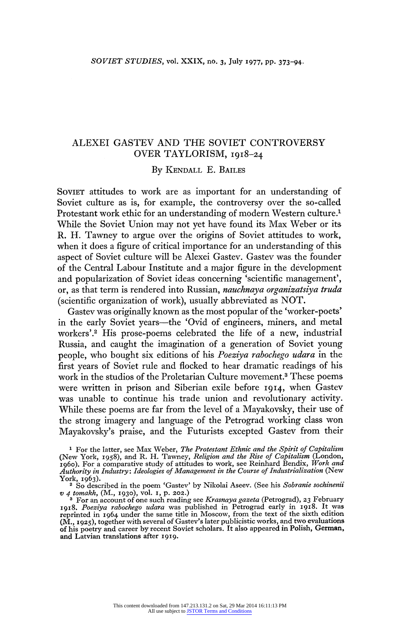## **ALEXEI GASTEV AND THE SOVIET CONTROVERSY OVER TAYLORISM, 1918-24**

### **By KENDALL E. BAILES**

**SOVIET attitudes to work are as important for an understanding of Soviet culture as is, for example, the controversy over the so-called Protestant work ethic for an understanding of modern Western culture.1 While the Soviet Union may not yet have found its Max Weber or its R. H. Tawney to argue over the origins of Soviet attitudes to work, when it does a figure of critical importance for an understanding of this aspect of Soviet culture will be Alexei Gastev. Gastev was the founder of the Central Labour Institute and a major figure in the development and popularization of Soviet ideas concerning 'scientific management', or, as that term is rendered into Russian, nauchnaya organizatsiya truda (scientific organization of work), usually abbreviated as NOT.** 

**Gastev was originally known as the most popular of the 'worker-poets' in the early Soviet years-the 'Ovid of engineers, miners, and metal workers'.2 His prose-poems celebrated the life of a new, industrial Russia, and caught the imagination of a generation of Soviet young people, who bought six editions of his Poeziya rabochego udara in the first years of Soviet rule and flocked to hear dramatic readings of his work in the studios of the Proletarian Culture movement.3 These poems were written in prison and Siberian exile before I914, when Gastev was unable to continue his trade union and revolutionary activity. While these poems are far from the level of a Mayakovsky, their use of the strong imagery and language of the Petrograd working class won Mayakovsky's praise, and the Futurists excepted Gastev from their** 

<sup>&</sup>lt;sup>1</sup> For the latter, see Max Weber, *The Protestant Ethnic and the Spirit of Capitalism* (New York, 1958), and R. H. Tawney, *Religion and the Rise of Capitalism* (London, 1960). For a comparative study of attitudes to work **Authority in Industry: Ideologies of Management in the Course of Industrialization (New York, 1963).** 

**<sup>2</sup>So described in the poem 'Gastev' by Nikolai Aseev. (See his Sobranie sochinenii v 4 tomakh, (M., 1930), vol. I, p. 202.)** 

**<sup>3</sup> For an account of one such reading see Krasnaya gazeta (Petrograd), 23 February I9I8. Poeziya rabochego udara was published in Petrograd early in I9I8. It was reprinted in I964 under the same title in Moscow, from the text of the sixth edition (M., 1925), together with several of Gastev's later publicistic works, and two evaluations of his poetry and career by recent Soviet scholars. It also appeared in Polish, German, and Latvian translations after 19I9.**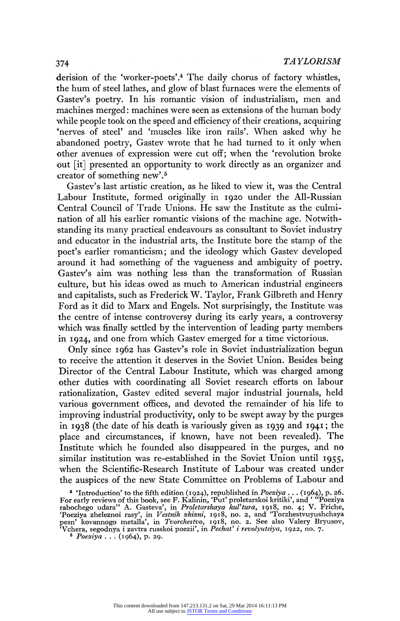**derision of the 'worker-poets'.4 The daily chorus of factory whistles, the hum of steel lathes, and glow of blast furnaces were the elements of Gastev's poetry. In his romantic vision of industrialism, men and machines merged: machines were seen as extensions of the human body while people took on the speed and efficiency of their creations, acquiring 'nerves of steel' and 'muscles like iron rails'. When asked why he abandoned poetry, Gastev wrote that he had turned to it only when other avenues of expression were cut off; when the 'revolution broke out [it] presented an opportunity to work directly as an organizer and creator of something new'.5** 

**Gastev's last artistic creation, as he liked to view it, was the Central Labour Institute, formed originally in 1920 under the All-Russian Central Council of Trade Unions. He saw the Institute as the culmination of all his earlier romantic visions of the machine age. Notwithstanding its many practical endeavours as consultant to Soviet industry and educator in the industrial arts, the Institute bore the stamp of the poet's earlier romanticism; and the ideology which Gastev developed around it had something of the vagueness and ambiguity of poetry. Gastev's aim was nothing less than the transformation of Russian culture, but his ideas owed as much to American industrial engineers and capitalists, such as Frederick W. Taylor, Frank Gilbreth and Henry Ford as it did to Marx and Engels. Not surprisingly, the Institute was the centre of intense controversy during its early years, a controversy which was finally settled by the intervention of leading party members in I924, and one from which Gastev emerged for a time victorious.** 

**Only since 1962 has Gastev's role in Soviet industrialization begun to receive the attention it deserves in the Soviet Union. Besides being Director of the Central Labour Institute, which was charged among other duties with coordinating all Soviet research efforts on labour rationalization, Gastev edited several major industrial journals, held various government offices, and devoted the remainder of his life to improving industrial productivity, only to be swept away by the purges in x938 (the date of his death is variously given as I939 and I94I; the place and circumstances, if known, have not been revealed). The Institute which he founded also disappeared in the purges, and no similar institution was re-established in the Soviet Union until 1955, when the Scientific-Research Institute of Labour was created under the auspices of the new State Committee on Problems of Labour and** 

<sup>&</sup>lt;sup>4</sup> 'Introduction' to the fifth edition (1924), republished in *Poeziya* . . . (1964), p. 26.<br>For early reviews of this book, see F. Kalinin, 'Put' proletarskoi kritiki', and . . The eziya rabochego udara" A. Gasteva', in *Proletarskaya kul'tura*, 1918, no. 4; V. Friche, 'Poeziya zheleznoi rasy', in *Vestnik zhizni*, 1918, no. 2, and 'Torzhestvuyushchaya pesn' kovannogo metalla', in *Torchestvo*, 1918, no. 2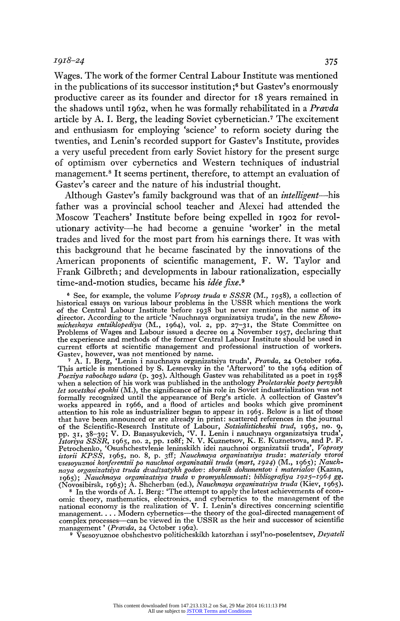## **I9i8-24 375**

**Wages. The work of the former Central Labour Institute was mentioned in the publications of its successor institution ;6 but Gastev's enormously productive career as its founder and director for I8 years remained in the shadows until 1962, when he was formally rehabilitated in a Pravda article by A. I. Berg, the leading Soviet cybernetician.7 The excitement and enthusiasm for employing 'science' to reform society during the twenties, and Lenin's recorded support for Gastev's Institute, provides a very useful precedent from early Soviet history for the present surge of optimism over cybernetics and Western techniques of industrial management.8 It seems pertinent, therefore, to attempt an evaluation of Gastev's career and the nature of his industrial thought.** 

**Although Gastev's family background was that of an intelligent-his father was a provincial school teacher and Alexei had attended the Moscow Teachers' Institute before being expelled in 1902 for revolutionary activity-he had become a genuine 'worker' in the metal trades and lived for the most part from his earnings there. It was with this background that he became fascinated by the innovations of the American proponents of scientific management, F. W. Taylor and Frank Gilbreth; and developments in labour rationalization, especially**  time-and-motion studies, became his *idée fixe*.<sup>9</sup>

**6 See, for example, the volume Voprosy truda v SSSR (M., 1958), a collection of historical essays on various labour problems in the USSR which mentions the work of the Central Labour Institute before I938 but never mentions the name of its director. According to the article 'Nauchnaya organizatsiya truda', in the new Ekonomicheskaya entsiklopediya (M., I964), vol. 2, pp. 27-31, the State Committee on Problems of Wages and Labour issued a decree on 4 November 1957, declaring that the experience and methods of the former Central Labour Institute should be used in current efforts at scientific management and professional instruction of workers.** 

Gastev, however, was not mentioned by name.<br><sup>7</sup> A. I. Berg, 'Lenin i nauchnaya organizatsiya truda', *Pravda*, 24 October 1962.<br>This article is mentioned by S. Lesnevsky in the 'Afterword' to the 1964 edition of **Poeziya rabochego udara (p. 305). Although Gastev was rehabilitated as a poet in 1958**  when a selection of his work was published in the anthology Proletarskie poety pervykh **let sovetskoi epokhi (M.), the significance of his role in Soviet industrialization was not**  formally recognized until the appearance of Berg's article. A collection of Gastev's works appeared in 1966, and a flood of articles and books which give prominent attention to his role as industrializer began to appear in **that have been announced or are already in print: scattered references in the journal**  of the Scientific-Research Institute of Labour, Sotsialisticheskii trud, 1965, no. 9, pp. 31, 38–39; V. D. Banasyukevich, 'V. I. Lenin i nauchnaya organizatsiya truda', Istoriya SSSR, 1965, no. 2, pp. 108f; N. V. Kuznetsov **I965); Nauchnaya organizatsiya truda v promyshlennosti: bibliografiya 1925-1964 gg.** 

(Novosibirsk, 1965); A. Shcherban (ed.), Nauchnaya organizatsiya truda (Kiev, 1965).<br>
<sup>8</sup> In the words of A. I. Berg: "The attempt to apply the latest achievements of economic theory, mathematics, electronics, and cyberne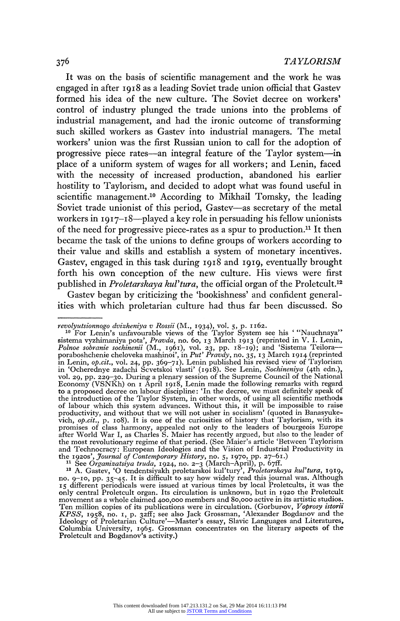**It was on the basis of scientific management and the work he was engaged in after I918 as a leading Soviet trade union official that Gastev formed his idea of the new culture. The Soviet decree on workers' control of industry plunged the trade unions into the problems of industrial management, and had the ironic outcome of transforming such skilled workers as Gastev into industrial managers. The metal workers' union was the first Russian union to call for the adoption of progressive piece rates-an integral feature of the Taylor system-in place of a uniform system of wages for all workers; and Lenin, faced with the necessity of increased production, abandoned his earlier hostility to Taylorism, and decided to adopt what was found useful in scientific management.'0 According to Mikhail Tomsky, the leading**  Soviet trade unionist of this period, Gastev-as secretary of the metal **workers in 19I7-I8-played a key role in persuading his fellow unionists of the need for progressive piece-rates as a spur to production.1l It then became the task of the unions to define groups of workers according to their value and skills and establish a system of monetary incentives. Gastev, engaged in this task during 1918 and I9I9, eventually brought forth his own conception of the new culture. His views were first published in Proletarskaya kul'tura, the official organ of the Proletcult.l2** 

**Gastev began by criticizing the 'bookishness' and confident generalities with which proletarian culture had thus far been discussed. So** 

**revolyutsionnogo dvizheniya v Rossii (M., I934), vol. 5, p. II62. 10 For Lenin's unfavourable views of the Taylor System see his ' "Nauchnaya"**  sistema vyzhimaniya pota', *Pravda*, no. 60, 13 March 1913 (reprinted in V. I. Lenin,<br>*Polnoe sobranie sochinenii* (M., 1961), vol. 23, pp. 18–19); and 'Sistema Teilora—<br>poraboshchenie cheloveka mashinoi', in *Put' Pravdy* in Lenin, *op.cit.*, vol. 24, pp. 369–71). Lenin published his revised view of Taylorism<br>in 'Ocherednye zadachi Scvetskoi vlasti' (1918). See Lenin, *Sochineniya* (4th edn.),<br>vol. 29, pp. 229–30. During a plenary session o **Economy (VSNKh) on i April 1918, Lenin made the following remarks with regard**  to a proposed decree on labour discipline: 'In the decree, we must definitely speak of the introduction of the Taylor System, in other words, of using all scientific methods of labour which this system advances. Without th **productivity, and without that we will not usher in socialism' (quoted in Banasyuke-vich, op.cit., p. io8). It is one of the curiosities of history that Taylorism, with its promises of class harmony, appealed not only to the leaders of bourgeois Europe after World War I, as Charles S. Maier has recently argued, but also to the leader of the most revolutionary regime of that period. (See Maier's article 'Between Taylorism and Technocracy: European Ideologies and the Vision of Industrial Productivity in** 

the 1920s', Journal of Contemporary History, no. 5, 1970, pp. 27–61.)<br><sup>11</sup> See Organizatsiya truda, 1924, no. 2–3 (March–April), p. 67ff.<br><sup>12</sup> A. Gastev, 'O tendentsiyakh proletarskoi kul'tury', *Proletarskaya kul'tura*, 1 no. 9–10, pp. 35–45. It is difficult to say how widely read this journal was. Although 15 different periodicals were issued at various times by local Proletcults, it was the only central Proletcult organ. Its circulation i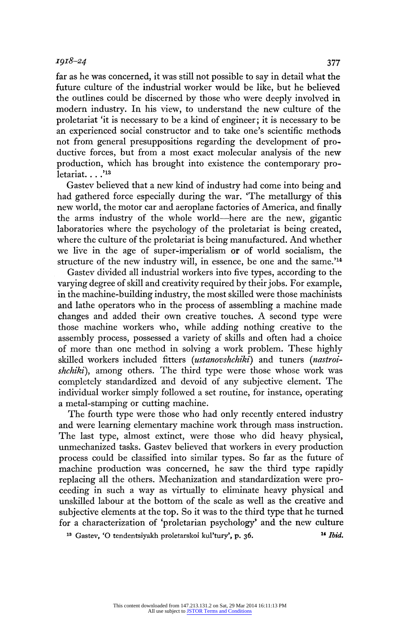# **I918-24 377**

**far as he was concerned, it was still not possible to say in detail what the future culture of the industrial worker would be like, but he believed the outlines could be discerned by those who were deeply involved in modern industry. In his view, to understand the new culture of the proletariat 'it is necessary to be a kind of engineer; it is necessary to be an experienced social constructor and to take one's scientific methods not from general presuppositions regarding the development of productive forces, but from a most exact molecular analysis of the new production, which has brought into existence the contemporary proletariat ... '13** 

**Gastev believed that a new kind of industry had come into being and had gathered force especially during the war. 'The metallurgy of this new world, the motor car and aeroplane factories of America, and finally the arms industry of the whole world-here are the new, gigantic laboratories where the psychology of the proletariat is being created, where the culture of the proletariat is being manufactured. And whether we live in the age of super-imperialism or of world socialism, the structure of the new industry will, in essence, be one and the same.'14** 

**Gastev divided all industrial workers into five types, according to the varying degree of skill and creativity required by their jobs. For example, in the machine-building industry, the most skilled were those machinists and lathe operators who in the process of assembling a machine made changes and added their own creative touches. A second type were those machine workers who, while adding nothing creative to the assembly process, possessed a variety of skills and often had a choice of more than one method in solving a work problem. These highly skilled workers included fitters (ustanovshchiki) and tuners (nastroishchiki), among others. The third type were those whose work was completely standardized and devoid of any subjective element. The individual worker simply followed a set routine, for instance, operating a metal-stamping or cutting machine.** 

**The fourth type were those who had only recently entered industry and were learning elementary machine work through mass instruction. The last type, almost extinct, were those who did heavy physical, unmechanized tasks. Gastev believed that workers in every production process could be classified into similar types. So far as the future of machine production was concerned, he saw the third type rapidly replacing all the others. Mechanization and standardization were proceeding in such a way as virtually to eliminate heavy physical and unskilled labour at the bottom of the scale as well as the creative and subjective elements at the top. So it was to the third type that he turned for a characterization of 'proletarian psychology' and the new culture** 

**<sup>13</sup>Gastev, '0 tendentsiyakh proletarskoi kul'tury', p. 36. 14 Ibid.**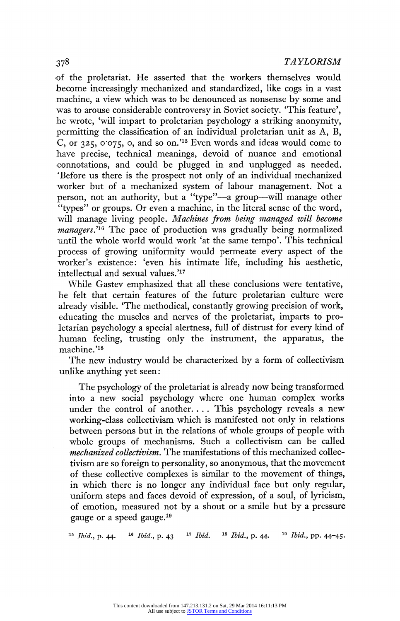**of the proletariat. He asserted that the workers themselves would become increasingly mechanized and standardized, like cogs in a vast machine, a view which was to be denounced as nonsense by some and was to arouse considerable controversy in Soviet society. 'This feature', he wrote, 'will impart to proletarian psychology a striking anonymity, permitting the classification of an individual proletarian unit as A, B, C, or 325, 0'075, o, and so on.'15 Even words and ideas would come to Ihave precise, technical meanings, devoid of nuance and emotional connotations, and could be plugged in and unplugged as needed. 'Before us there is the prospect not only of an individual mechanized worker but of a mechanized system of labour management. Not a**  person, not an authority, but a "type"—a group—will manage other **"types" or groups. Or even a machine, in the literal sense of the word, will manage living people. Machines from being managed will become managers.'6 The pace of production was gradually being normalized until the whole world would work 'at the same tempo'. This technical process of growing uniformity would permeate every aspect of the worker's existence: 'even his intimate life, including his aesthetic, intellectual and sexual values.'17** 

**While Gastev emphasized that all these conclusions were tentative, he felt that certain features of the future proletarian culture were already visible. 'The methodical, constantly growing precision of work, educating the muscles and nerves of the proletariat, imparts to proletarian psychology a special alertness, full of distrust for every kind of human feeling, trusting only the instrument, the apparatus, the machine.'18** 

**The new industry would be characterized by a form of collectivism unlike anything yet seen:** 

**The psychology of the proletariat is already now being transformed into a new social psychology where one human complex works under the control of another.... This psychology reveals a new working-class collectivism which is manifested not only in relations between persons but in the relations of whole groups of people with whole groups of mechanisms. Such a collectivism can be called mechanized collectivism. The manifestations of this mechanized collectivism are so foreign to personality, so anonymous, that the movement of these collective complexes is similar to the movement of things, in which there is no longer any individual face but only regular, uniform steps and faces devoid of expression, of a soul, of lyricism, of emotion, measured not by a shout or a smile but by a pressure gauge or a speed gauge.l9** 

**<sup>15</sup>Ibid., p. 44. 16 Ibid., p. 43 17 Ibid. 18 Ibid., p. 44. 19 Ibid., pp. 44-45.**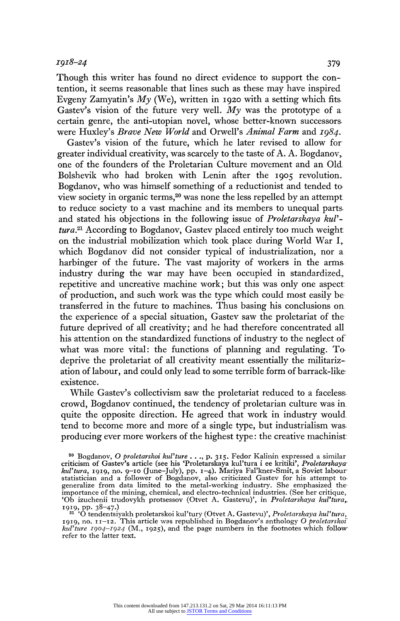## **I9g8-24 379**

**Though this writer has found no direct evidence to support the contention, it seems reasonable that lines such as these may have inspired Evgeny Zamyatin's My (We), written in 1920 with a setting which fits Gastev's vision of the future very well. My was the prototype of a certain genre, the anti-utopian novel, whose better-known successors. were Huxley's Brave New World and Orwell's Animal Farm and 1984.** 

**Gastev's vision of the future, which he later revised to allow for greater individual creativity, was scarcely to the taste of A. A. Bogdanov, one of the founders of the Proletarian Culture movement and an Old Bolshevik who had broken with Lenin after the 1905 revolution. Bogdanov, who was himself something of a reductionist and tended to**  view society in organic terms,<sup>20</sup> was none the less repelled by an attempt **to reduce society to a vast machine and its members to unequal parts. and stated his objections in the following issue of Proletarskaya kul' tura.21 According to Bogdanov, Gastev placed entirely too much weight: on the industrial mobilization which took place during World War I, which Bogdanov did not consider typical of industrialization, nor a harbinger of the future. The vast majority of workers in the arms. industry during the war may have been occupied in standardized, repetitive and uncreative machine work; but this was only one aspect of production, and such work was the type which could most easily be transferred in the future to machines. Thus basing his conclusions on the experience of a special situation, Gastev saw the proletariat of the future deprived of all creativity; and he had therefore concentrated all his attention on the standardized functions of industry to the neglect of what was more vital: the functions of planning and regulating. To. deprive the proletariat of all creativity meant essentially the militarization of labour, and could only lead to some terrible form of barrack-like existence.** 

**While Gastev's collectivism saw the proletariat reduced to a faceless. crowd, Bogdanov continued, the tendency of proletarian culture was in quite the opposite direction. He agreed that work in industry would tend to become more and more of a single type, but industrialism was. producing ever more workers of the highest type: the creative machinist** 

<sup>&</sup>lt;sup>20</sup> Bogdanov, O proletarskoi kul'ture . . ., p. 315. Fedor Kalinin expressed a similar criticism of Gastev's article (see his 'Proletarskaya kul'tura i ee kritiki', Proletarskaya **kul'tura, 1919, no. 9-Io (June-July), pp. I-4). Mariya Fal'kner-Smit, a Soviet labour-statistician and a follower of Bogdanov, also criticized Gastev for his attempt togeneralize from data limited to the metal-working industry. She emphasized theimportance of the mining, chemical, and electro-technical industries. (See her critique, 'Ob izuchenii trudovykh protsessov (Otvet A. Gastevu)', in Proletarskaya kul'tura,** 

<sup>1919,</sup> pp. 38–47.)<br>21 °O tendentsiyakh proletarskoi kul'tury (Otvet A. Gastevu)', *Proletarskaya kul'tura*,<br>1919, no. 11–12. This article was republished in Bogdanov's anthology *O proletarskoi* **kul'ture I904-I924 (M., 1925), and the page numbers in the footnotes which follow refer to the latter text.**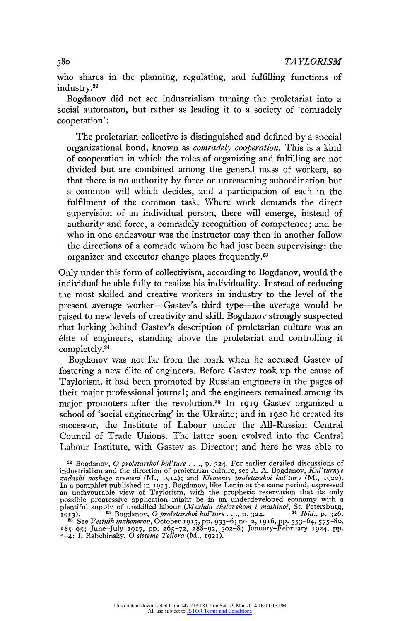**who shares in the planning, regulating, and fulfilling functions of industry.22** 

**Bogdanov did not see industrialism turning the proletariat into a social automaton, but rather as leading it to a society of 'comradely cooperation':** 

**The proletarian collective is distinguished and defined by a special organizational bond, known as comradely cooperation. This is a kind of cooperation in which the roles of organizing and fulfilling are not divided but are combined among the general mass of workers, so that there is no authority by force or unreasoning subordination but a common will which decides, and a participation of each in the fulfilment of the common task. Where work demands the direct supervision of an individual person, there will emerge, instead of authority and force, a comradely recognition of competence; and he who in one endeavour was the instructor may then in another follow the directions of a comrade whom he had just been supervising: the organizer and executor change places frequently.23** 

**Only under this form of collectivism, according to Bogdanov, would the individual be able fully to realize his individuality. Instead of reducing the most skilled and creative workers in industry to the level of the present average worker-Gastev's third type-the average would be raised to new levels of creativity and skill. Bogdanov strongly suspected that lurking behind Gastev's description of proletarian culture was an elite of engineers, standing above the proletariat and controlling it completely.24** 

**Bogdanov was not far from the mark when he accused Gastev of fostering a new elite of engineers. Before Gastev took up the cause of Taylorism, it had been promoted by Russian engineers in the pages of their major professional journal; and the engineers remained among its major promoters after the revolution.25 In I9I9 Gastev organized a school of 'social engineering' in the Ukraine; and in I920 he created its successor, the Institute of Labour under the All-Russian Central Council of Trade Unions. The latter soon evolved into the Central Labour Institute, with Gastev as Director; and here he was able to** 

<sup>&</sup>lt;sup>22</sup> Bogdanov, *O proletarskoi kul'ture . .* ., p. 324. For earlier detailed discussions of industrialism and the direction of proletarian culture, see A. A. Bogdanov, *Kul'turnye* **industrialism and the direction of proletarian culture, see A. A. Bogdanov, Kul'turnye**  zadachi nashego vremeni (M., 1914); and *Elementy proletarskoi kul'tury* (M., 1920).<br>In a pamphlet published in 1913, Bogdanov, like Lenin at the same period, expressed<br>an unfavourable view of Taylorism, with the prophetic **plentiful supply of unskilled labour (Mezhdu chelovekom i mashinoi, St. Petersburg, 1913). 23 Bogdanov, O proletarskoi kul'ture ..., p. 324. 24 Ibid., p. 326.** 

**<sup>25</sup>See Vestnik inzhenerov, October I915, pp. 933-6; no. 2, I916, pp. 553-64, 575-80, 585-95; June-July I917, pp. 265-72, 288-92, 302-8; January-February 1924, pp. 3-4; I. Rabchinsky, 0 sisteme Teilora (M., 192I).**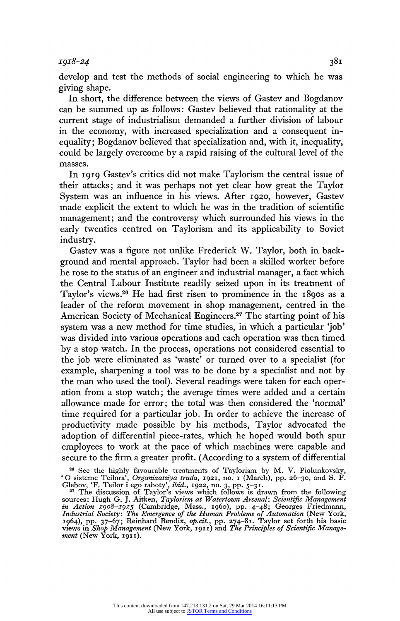**I9i8-24 38i** 

**develop and test the methods of social engineering to which he was giving shape.** 

**In short, the difference between the views of Gastev and Bogdanov can be summed up as follows: Gastev believed that rationality at the current stage of industrialism demanded a further division of labour in the economy, with increased specialization and a consequent inequality; Bogdanov believed that specialization and, with it, inequality, could be largely overcome by a rapid raising of the cultural level of the masses.** 

**In I9I9 Gastev's critics did not make Taylorism the central issue of their attacks; and it was perhaps not yet clear how great the Taylor System was an influence in his views. After I920, however, Gastev made explicit the extent to which he was in the tradition of scientific management; and the controversy which surrounded his views in the early twenties centred on Taylorism and its applicability to Soviet industry.** 

**Gastev was a figure not unlike Frederick W. Taylor, both in background and mental approach. Taylor had been a skilled worker before he rose to the status of an engineer and industrial manager, a fact which the Central Labour Institute readily seized upon in its treatment of Taylor's views.26 He had first risen to prominence in the I89os as a leader of the reform movement in shop management, centred in the American Society of Mechanical Engineers.27 The starting point of his system was a new method for time studies, in which a particular 'job' was divided into various operations and each operation was then timed by a stop watch. In the process, operations not considered essential to the job were eliminated as 'waste' or turned over to a specialist (for example, sharpening a tool was to be done by a specialist and not by the man who used the tool). Several readings were taken for each operation from a stop watch; the average times were added and a certain allowance made for error; the total was then considered the 'normal' time required for a particular job. In order to achieve the increase of productivity made possible by his methods, Taylor advocated the adoption of differential piece-rates, which he hoped would both spur employees to work at the pace of which machines were capable and secure to the firm a greater profit. (According to a system of differential** 

**<sup>26</sup>See the highly favourable treatments of Taylorism by M. V. Piolunkovsky,**  <sup>1</sup>O sisteme Teilora', Organizatsiya truda, 1921, no. 1 (March), pp. 26-30, and S. F. Glebov, 'F. Teilor i ego raboty', ibid., 1922, no. 3, pp. 5-31.<br><sup>27</sup> The discussion of Taylor's views which follows is drawn from the fo

**sources: Hugh G. J. Aitken, Taylorism at Watertown Arsenal: Scientific Management**  in Action 1908–1915 (Cambridge, Mass., 1960), pp. 4–48; Georges Friedmann, Industrial Society: The Emergence of the Human Problems of Automation (New York, 1964), pp. 37–67; Reinhard Bendix, op.cit., pp. 274–81. Taylor set **ment (New York, 1911).**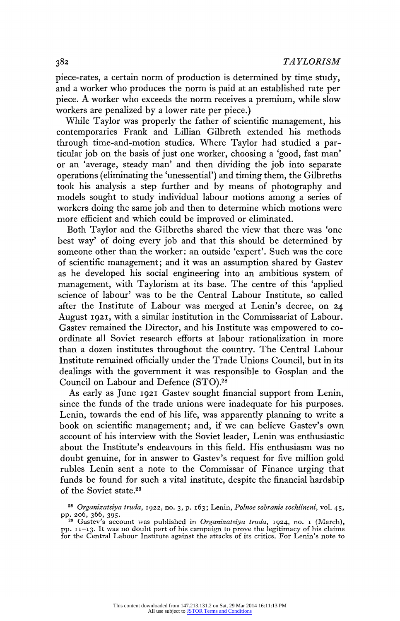**piece-rates, a certain norm of production is determined by time study, and a worker who produces the norm is paid at an established rate per piece. A worker who exceeds the norm receives a premium, while slow workers are penalized by a lower rate per piece.)** 

**While Taylor was properly the father of scientific management, his contemporaries Frank and Lillian Gilbreth extended his methods through time-and-motion studies. Where Taylor had studied a particular job on the basis of just one worker, choosing a 'good, fast man' or an 'average, steady man' and then dividing the job into separate operations (eliminating the 'unessential') and timing them, the Gilbreths took his analysis a step further and by means of photography and models sought to study individual labour motions among a series of workers doing the same job and then to determine which motions were more efficient and which could be improved or eliminated.** 

**Both Taylor and the Gilbreths shared the view that there was 'one best way' of doing every job and that this should be determined by someone other than the worker: an outside 'expert'. Such was the core of scientific management; and it was an assumption shared by Gastev as he developed his social engineering into an ambitious system of management, with Taylorism at its base. The centre of this 'applied science of labour' was to be the Central Labour Institute, so called after the Institute of Labour was merged at Lenin's decree, on 24 August I92I, with a similar institution in the Commissariat of Labour. Gastev remained the Director, and his Institute was empowered to coordinate all Soviet research efforts at labour rationalization in more than a dozen institutes throughout the country. The Central Labour Institute remained officially under the Trade Unions Council, but in its dealings with the government it was responsible to Gosplan and the Council on Labour and Defence (STO).28** 

**As early as June I92I Gastev sought financial support from Lenin, since the funds of the trade unions were inadequate for his purposes. Lenin, towards the end of his life, was apparently planning to write a book on scientific management; and, if we can believe Gastev's own account of his interview with the Soviet leader, Lenin was enthusiastic about the Institute's endeavours in this field. His enthusiasm was no doubt genuine, for in answer to Gastev's request for five million gold rubles Lenin sent a note to the Commissar of Finance urging that funds be found for such a vital institute, despite the financial hardship of the Soviet state.29** 

**<sup>28</sup>Organizatsiya truda, 1922, no. 3, p. I63; Lenin, Polnoe sobranie sochiineni, vol. 45, pp. 2o6, 366, 395. <sup>29</sup>Gastev's account was published in Organizatsiya truda, I924, no. i (March),** 

**pp. 1I-13. It was no doubt part of his campaign to prove the legitimacy of his claims for the Central Labour Institute against the attacks of its critics. For Lenin's note to**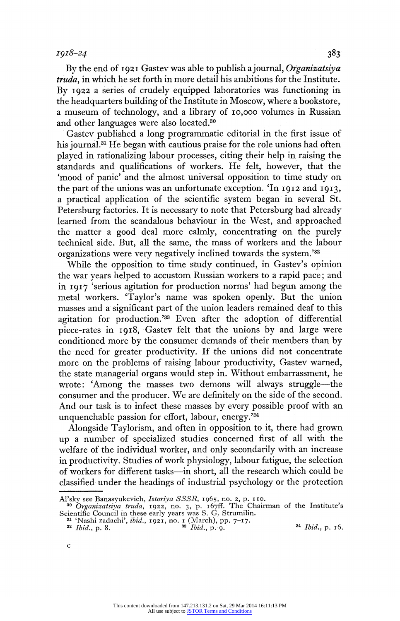**By the end of I92I Gastev was able to publish ajournal, Organizatsiya truda, in which he set forth in more detail his ambitions for the Institute. By 1922 a series of crudely equipped laboratories was functioning in the headquarters building of the Institute in Moscow, where a bookstore, a museum of technology, and a library of Io,ooo volumes in Russian and other languages were also located.30** 

**Gastev published a long programmatic editorial in the first issue of his journal.31 He began with cautious praise for the role unions had often played in rationalizing labour processes, citing their help in raising the standards and qualifications of workers. He felt, however, that the 'mood of panic' and the almost universal opposition to time study on the part of the unions was an unfortunate exception. 'In 1912 and 1913, a practical application of the scientific system began in several St. Petersburg factories. It is necessary to note that Petersburg had already learned from the scandalous behaviour in the West, and approached the matter a good deal more calmly, concentrating on the purely technical side. But, all the same, the mass of workers and the labour organizations were very negatively inclined towards the system.'32** 

**While the opposition to time study continued, in Gastev's opinion the war years helped to accustom Russian workers to a rapid pace; and in I917 'serious agitation for production norms' had begun among the metal workers. 'Taylor's name was spoken openly. But the union masses and a significant part of the union leaders remained deaf to this agitation for production.'33 Even after the adoption of differential piece-rates in 1918, Gastev felt that the unions by and large were conditioned more by the consumer demands of their members than by the need for greater productivity. If the unions did not concentrate more on the problems of raising labour productivity, Gastev warned, the state managerial organs would step in. Without embarrassment, he**  wrote: 'Among the masses two demons will always struggle-the **consumer and the producer. We are definitely on the side of the second. And our task is to infect these masses by every possible proof with an unquenchable passion for effort, labour, energy.'34** 

**Alongside Taylorism, and often in opposition to it, there had grown up a number of specialized studies concerned first of all with the welfare of the individual worker, and only secondarily with an increase in productivity. Studies of work physiology, labour fatigue, the selection of workers for different tasks-in short, all the research which could be classified under the headings of industrial psychology or the protection** 

**Al'sky see Banasyukevich, Istoriya SSSR, I965, no. 2, p. IIo.** 

<sup>&</sup>lt;sup>30</sup> Organizatsiya truda, 1922, no. 3, p. 167ff. The Chairman of the Institute's Scientific Council in these early years was S. G. Strumilin.<br><sup>31</sup> 'Nashi zadachi', *ibid.*, 1921, no. 1 (March), pp. 7-17.<br><sup>32</sup> Ibid., p. 8.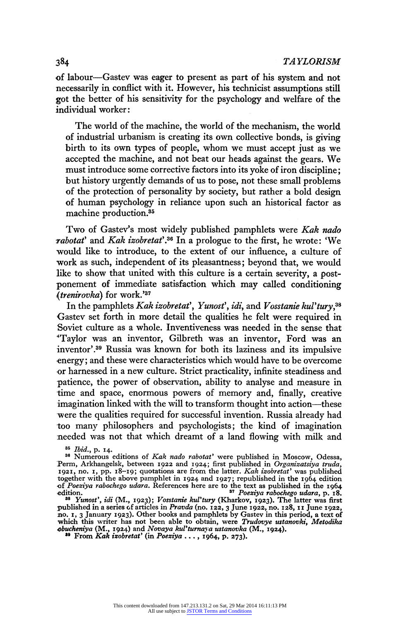**of labour-Gastev was eager to present as part of his system and not necessarily in conflict with it. However, his technicist assumptions still got the better of his sensitivity for the psychology and welfare of the individual worker:** 

**The world of the machine, the world of the mechanism, the world of industrial urbanism is creating its own collective bonds, is giving birth to its own types of people, whom we must accept just as we accepted the machine, and not beat our heads against the gears. We must introduce some corrective factors into its yoke of iron discipline; but history urgently demands of us to pose, not these small problems of the protection of personality by society, but rather a bold design of human psychology in reliance upon such an historical factor as machine production.35** 

**Two of Gastev's most widely published pamphlets were Kak nado rabotat' and Kak izobretat'36 In a prologue to the first, he wrote: 'We would like to introduce, to the extent of our influence, a culture of work as such, independent of its pleasantness; beyond that, we would like to show that united with this culture is a certain severity, a postponement of immediate satisfaction which may called conditioning (trenirovka) for work.'37** 

**In the pamphlets Kak izobretat', Yunost', idi, and Vosstanie kul'tury,38 Gastev set forth in more detail the qualities he felt were required in Soviet culture as a whole. Inventiveness was needed in the sense that "Taylor was an inventor, Gilbreth was an inventor, Ford was an inventor'.39 Russia was known for both its laziness and its impulsive energy; and these were characteristics which would have to be overcome or harnessed in a new culture. Strict practicality, infinite steadiness and patience, the power of observation, ability to analyse and measure in time and space, enormous powers of memory and, finally, creative imagination linked with the will to transform thought into action-these were the qualities required for successful invention. Russia already had too many philosophers and psychologists; the kind of imagination needed was not that which dreamt of a land flowing with milk and** 

**<sup>35</sup> Ibid., p. 14. 38 Numerous editions of Kak nado rabotat' were published in Moscow, Odessa, Perm, Arkhangelsk, between I922 and 1924; first published in Organizatsiya truda,**  1921, no. 1, pp. 18-19; quotations are from the latter. Kak izobretat' was published<br>together with the above pamphlet in 1924 and 1927; republished in the 1964 edition<br>of *Poeziya rabochego udara*. References here are to

<sup>&</sup>lt;sup>38</sup> *Yunost'*, *idi* (M., 1923); *Vosstanie kul'tury* (Kharkov, 1923). The latter was first published in a series of articles in *Pravda* (no. 122, 3 June 1922, no. 128, 11 June 1922, no. 1, 3 January 1923). Other books a **obucheniya (M., 1924) and Novaya kul'turnaya ustanovka (M., 1924).** <br><sup>89</sup> From *Kak izobretat'* (in *Poeziya* ..., 1964, p. 273).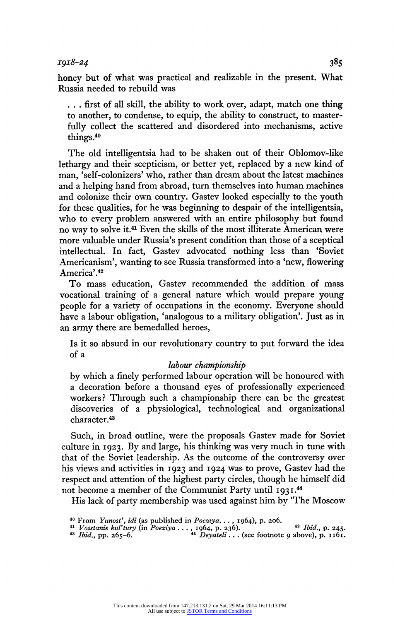**I9i8-24 385** 

**honey but of what was practical and realizable in the present. What Russia needed to rebuild was** 

**... first of all skill, the ability to work over, adapt, match one thing to another, to condense, to equip, the ability to construct, to masterfully collect the scattered and disordered into mechanisms, active things.40** 

**The old intelligentsia had to be shaken out of their Oblomov-like lethargy and their scepticism, or better yet, replaced by a new kind of man, 'self-colonizers' who, rather than dream about the latest machines and a helping hand from abroad, turn themselves into human machines and colonize their own country. Gastev looked especially to the youth for these qualities, for he was beginning to despair of the intelligentsia, who to every problem answered with an entire philosophy but found no way to solve it.41 Even the skills of the most illiterate American were more valuable under Russia's present condition than those of a sceptical intellectual. In fact, Gastev advocated nothing less than 'Soviet Americanism', wanting to see Russia transformed into a 'new, flowering America'.42** 

**To mass education, Gastev recommended the addition of mass vocational training of a general nature which would prepare young people for a variety of occupations in the economy. Everyone should have a labour obligation, 'analogous to a military obligation'. Just as in an army there are bemedalled heroes,** 

**Is it so absurd in our revolutionary country to put forward the idea of a** 

### **labour championship**

**by which a finely performed labour operation will be honoured with a decoration before a thousand eyes of professionally experienced workers? Through such a championship there can be the greatest discoveries of a physiological, technological and organizational character.43** 

**Such, in broad outline, were the proposals Gastev made for Soviet culture in 1923. By and large, his thinking was very much in tune with that of the Soviet leadership. As the outcome of the controversy over his views and activities in I923 and 1924 was to prove, Gastev had the respect and attention of the highest party circles, though he himself did not become a member of the Communist Party until I93I.44** 

**His lack of party membership was used against him by 'The Moscow** 

**<sup>40</sup>From Yunost', idi (as published in Poeziya. ..., 964), p. 206. <sup>41</sup>Vosstanie kul'tury (in Poeziya . . ., 964, p. 236). 42 Ibid., p. 245. <sup>43</sup>Ibid., pp. 265-6. 44 Deyateli... (see footnote 9 above), p. I6Ix.**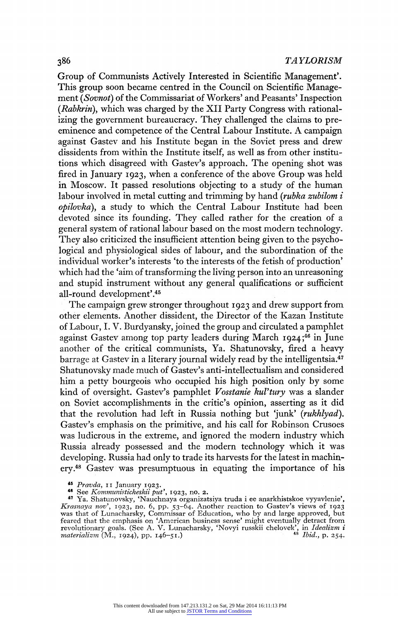**Group of Communists Actively Interested in Scientific Management'. This group soon became centred in the Council on Scientific Management (Sovnot) of the Commissariat of Workers' and Peasants' Inspection (Rabkrin), which was charged by the XII Party Congress with rationalizing the government bureaucracy. They challenged the claims to preeminence and competence of the Central Labour Institute. A campaign against Gastev and his Institute began in the Soviet press and drew dissidents from within the Institute itself, as well as from other institutions which disagreed with Gastev's approach. The opening shot was fired in January 1923, when a conference of the above Group was held in Moscow. It passed resolutions objecting to a study of the human labour involved in metal cutting and trimming by hand (rubka zubilom i opilovka), a study to which the Central Labour Institute had been devoted since its founding. They called rather for the creation of a general system of rational labour based on the most modern technology. They also criticized the insufficient attention being given to the psychological and physiological sides of labour, and the subordination of the individual worker's interests 'to the interests of the fetish of production' which had the 'aim of transforming the living person into an unreasoning and stupid instrument without any general qualifications or sufficient all-round development'.45** 

**The campaign grew stronger throughout I923 and drew support from other elements. Another dissident, the Director of the Kazan Institute of Labour, I. V. Burdyansky, joined the group and circulated a pamphlet against Gastev among top party leaders during March i924;46 in June another of the critical communists, Ya. Shatunovsky, fired a heavy barrage at Gastev in a literary journal widely read by the intelligentsia.47 Shatunovsky made much of Gastev's anti-intellectualism and considered him a petty bourgeois who occupied his high position only by some kind of oversight. Gastev's pamphlet Vosstanie kul'tury was a slander on Soviet accomplishments in the critic's opinion, asserting as it did that the revolution had left in Russia nothing but 'junk' (rukhlyad). Gastev's emphasis on the primitive, and his call for Robinson Crusoes was ludicrous in the extreme, and ignored the modern industry which Russia already possessed and the modern technology which it was developing. Russia had only to trade its harvests for the latest in machinery.48 Gastev was presumptuous in equating the importance of his** 

<sup>&</sup>lt;sup>45</sup> *Pravda*, 11 January 1923.<br>
<sup>45</sup> See *Kommunisticheskii put*<sup>1</sup>, 1923, no. 2.<br>
<sup>47</sup> Ya. Shatunovsky, 'Nauchnaya organizatsiya truda i ee anarkhistskoe vyyavlenie',<br> *Krasnaya nov*', 1923, no. 6, pp. 53–64. Another rea feared that the emphasis on 'American business sense' might eventually detract from<br>revolutionary goals. (See A. V. Lunacharsky, 'Novyi russkii chelovek', in *Idealizm i*<br>*materializm* (M., 1924), pp. 146–51.)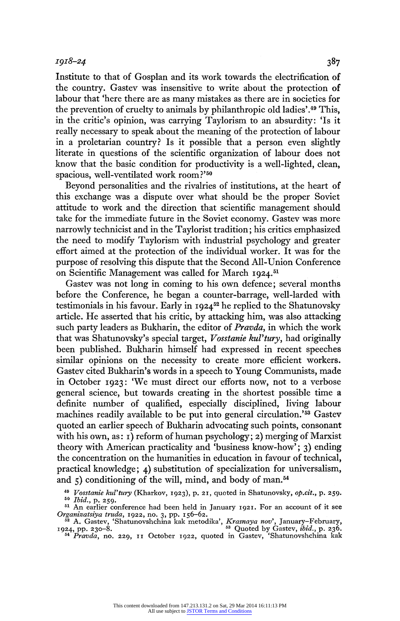# **i918-24 387**

**Institute to that of Gosplan and its work towards the electrification of the country. Gastev was insensitive to write about the protection of labour that 'here there are as many mistakes as there are in societies for the prevention of cruelty to animals by philanthropic old ladies'.49 This, in the critic's opinion, was carrying Taylorism to an absurdity: 'Is it really necessary to speak about the meaning of the protection of labour in a proletarian country? Is it possible that a person even slightly literate in questions of the scientific organization of labour does not know that the basic condition for productivity is a well-lighted, clean, spacious, well-ventilated work room?'50** 

**Beyond personalities and the rivalries of institutions, at the heart of this exchange was a dispute over what should be the proper Soviet attitude to work and the direction that scientific management should take for the immediate future in the Soviet economy. Gastev was more narrowly technicist and in the Taylorist tradition; his critics emphasized the need to modify Taylorism with industrial psychology and greater effort aimed at the protection of the individual worker. It was for the purpose of resolving this dispute that the Second All-Union Conference on Scientific Management was called for March I924.51** 

**Gastev was not long in coming to his own defence; several months before the Conference, he began a counter-barrage, well-larded with testimonials in his favour. Early in I92452 he replied to the Shatunovsky article. He asserted that his critic, by attacking him, was also attacking such party leaders as Bukharin, the editor of Pravda, in which the work that was Shatunovsky's special target, Vosstanie kul'tury, had originally been published. Bukharin himself had expressed in recent speeches similar opinions on the necessity to create more efficient workers. Gastev cited Bukharin's words in a speech to Young Communists, made in October 1923: 'We must direct our efforts now, not to a verbose general science, but towards creating in the shortest possible time a definite number of qualified, especially disciplined, living labour machines readily available to be put into general circulation.'53 Gastev quoted an earlier speech of Bukharin advocating such points, consonant with his own, as: i) reform of human psychology; 2) merging of Marxist theory with American practicality and 'business know-how'; 3) ending the concentration on the humanities in education in favour of technical, practical knowledge; 4) substitution of specialization for universalism, and 5) conditioning of the will, mind, and body of man.54** 

<sup>&</sup>lt;sup>49</sup> *Vosstanie kul'tury* (Kharkov, **1923), p. 21, quoted in Shatunovsky**, *op.cit.*, p. 259.<br><sup>50</sup> *Ibid.*, p. 259. 51 An earlier conference had been held in January 1921. For an account of it see

Organizatsiya truda, 1922, no. 3, pp. 156–62.<br><sup>52</sup> A. Gastev, 'Shatunovshchina kak metodika', *Krasnaya nov*', January–February, 1924, pp. 230–8.<br><sup>53</sup> Quoted by Gastev, *ibid.*, p. 236.<br><sup>54</sup> Pravda, no. 229, 11 October 192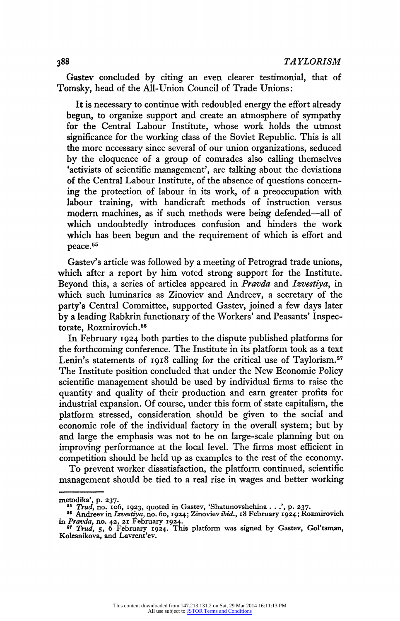**Gastev concluded by citing an even clearer testimonial, that of Tomsky, head of the All-Union Council of Trade Unions:** 

**It is necessary to continue with redoubled energy the effort already begun, to organize support and create an atmosphere of sympathy for the Central Labour Institute, whose work holds the utmost significance for the working class of the Soviet Republic. This is all the more necessary since several of our union organizations, seduced by the eloquence of a group of comrades also calling themselves 'activists of scientific management', are talking about the deviations of the Central Labour Institute, of the absence of questions concerning the protection of labour in its work, of a preoccupation with labour training, with handicraft methods of instruction versus modern machines, as if such methods were being defended-all of which undoubtedly introduces confusion and hinders the work which has been begun and the requirement of which is effort and peace.65** 

**Gastev's article was followed by a meeting of Petrograd trade unions, which after a report by him voted strong support for the Institute. Beyond this, a series of articles appeared in Pravda and Izvestiya, in which such luminaries as Zinoviev and Andreev, a secretary of the party's Central Committee, supported Gastev, joined a few days later by a leading Rabkrin functionary of the Workers' and Peasants' Inspectorate, Rozmirovich.56** 

**In February 1924 both parties to the dispute published platforms for the forthcoming conference. The Institute in its platform took as a text Lenin's statements of I918 calling for the critical use of Taylorism.57 The Institute position concluded that under the New Economic Policy scientific management should be used by individual firms to raise the quantity and quality of their production and earn greater profits for industrial expansion. Of course, under this form of state capitalism, the platform stressed, consideration should be given to the social and economic role of the individual factory in the overall system; but by and large the emphasis was not to be on large-scale planning but on improving performance at the local level. The firms most efficient in competition should be held up as examples to the rest of the economy.** 

**To prevent worker dissatisfaction, the platform continued, scientific management should be tied to a real rise in wages and better working** 

**metodika', p. 237.** 

<sup>55</sup> *Trud*, no. 106, 1923, quoted in Gastev, 'Shatunovshchina . . .', p. 237.<br><sup>56</sup> Andreev in *Izvestiya,* no. 60, 1924; Zinoviev *ibid.*, 18 February 1924; Rozmirovich

**in Pravda, no. 42, 2I February 1924. 67 Trud, 5, 6 February 1924. This platform was signed by Gastev, Gol'tsman, Kolesnikova, and Lavrent'ev.**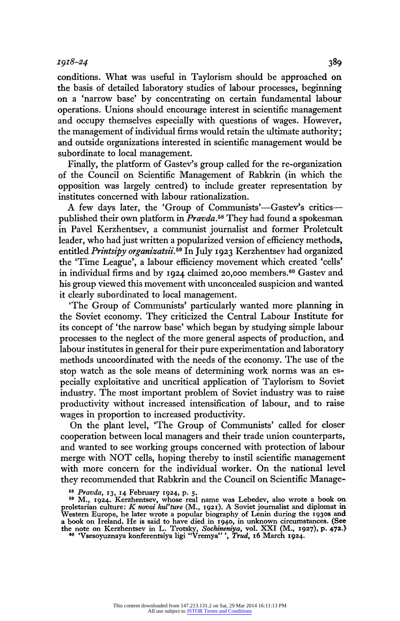## **I918-24 389**

**conditions. What was useful in Taylorism should be approached on the basis of detailed laboratory studies of labour processes, beginning on a 'narrow base' by concentrating on certain fundamental labour operations. Unions should encourage interest in scientific management and occupy themselves especially with questions of wages. However, the management of individual firms would retain the ultimate authority; and outside organizations interested in scientific management would be subordinate to local management.** 

**Finally, the platform of Gastev's group called for the re-organization of the Council on Scientific Management of Rabkrin (in which the opposition was largely centred) to include greater representation by institutes concerned with labour rationalization.** 

A few days later, the 'Group of Communists'—Gastev's critics **published their own platform in Pravda.58 They had found a spokesman in Pavel Kerzhentsev, a communist journalist and former Proletcult leader, who had just written a popularized version of efficiency methods, entitled Printsipy organizatsii.59 In July 1923 Kerzhentsev had organized the 'Time League', a labour efficiency movement which created 'cells' in individual firms and by 1924 claimed 20,000 members.60 Gastev and his group viewed this movement with unconcealed suspicion and wanted it clearly subordinated to local management.** 

**'The Group of Communists' particularly wanted more planning in the Soviet economy. They criticized the Central Labour Institute for its concept of 'the narrow base' which began by studying simple labour processes to the neglect of the more general aspects of production, and labour institutes in general for their pure experimentation and laboratory methods uncoordinated with the needs of the economy. The use of the stop watch as the sole means of determining work norms was an especially exploitative and uncritical application of Taylorism to Soviet industry. The most important problem of Soviet industry was to raise productivity without increased intensification of labour, and to raise wages in proportion to increased productivity.** 

**On the plant level, 'The Group of Communists' called for closer cooperation between local managers and their trade union counterparts, and wanted to see working groups concerned with protection of labour merge with NOT cells, hoping thereby to instil scientific management with more concern for the individual worker. On the national level they recommended that Rabkrin and the Council on Scientific Manage-**

**<sup>68</sup>Pravda, 13, 14 February 1924, p. 5. 59 M., 1924. Kerzhentsev, whose real name was Lebedev, also wrote a book on proletarian culture: K novoi kul'ture (M., I92I). A Soviet journalist and diplomat in Western Europe, he later wrote a popular biography of Lenin during the 1930s and**  a book on Ireland. He is said to have died in 1940, in unknown circumstances. (See<br>the note on Kerzhentsev in L. Trotsky, Sochineniya, vol. XXI (M., 1927), p. 472.)<br><sup>60</sup> 'Vsesoyuznaya konferentsiya ligi ''Vremya'', *Trud*,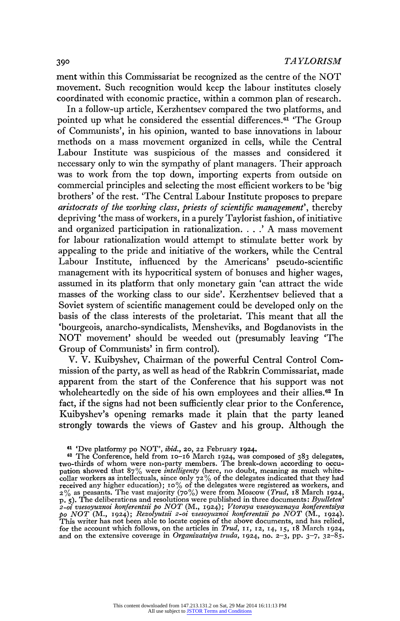**ment within this Commissariat be recognized as the centre of the NOT movement. Such recognition would keep the labour institutes closely coordinated with economic practice, within a common plan of research.** 

**In a follow-up article, Kerzhentsev compared the two platforms, and**  pointed up what he considered the essential differences.<sup>61</sup> 'The Group **of Communists', in his opinion, wanted to base innovations in labour methods on a mass movement organized in cells, while the Central Labour Institute was suspicious of the masses and considered it necessary only to win the sympathy of plant managers. Their approach was to work from the top down, importing experts from outside on commercial principles and selecting the most efficient workers to be 'big brothers' of the rest. 'The Central Labour Institute proposes to prepare aristocrats of the working class, priests of scientific management', thereby depriving 'the mass of workers, in a purely Taylorist fashion, of initiative and organized participation in rationalization. ... .'A mass movement for labour rationalization would attempt to stimulate better work by appealing to the pride and initiative of the workers, while the Central Labour Institute, influenced by the Americans' pseudo-scientific management with its hypocritical system of bonuses and higher wages, assumed in its platform that only monetary gain 'can attract the wide masses of the working class to our side'. Kerzhentsev believed that a Soviet system of scientific management could be developed only on the basis of the class interests of the proletariat. This meant that all the 'bourgeois, anarcho-syndicalists, Mensheviks, and Bogdanovists in the NOT movement' should be weeded out (presumably leaving 'The Group of Communists' in firm control).** 

**V. V. Kuibyshev, Chairman of the powerful Central Control Commission of the party, as well as head of the Rabkrin Commissariat, made apparent from the start of the Conference that his support was not wholeheartedly on the side of his own employees and their allies.62 In fact, if the signs had not been sufficiently clear prior to the Conference, Kuibyshev's opening remarks made it plain that the party leaned strongly towards the views of Gastev and his group. Although the** 

<sup>&</sup>lt;sup>61</sup> 'Dve platformy po NOT', *ibid.*, 20, 22 February 1924.<br><sup>62</sup> The Conference, held from 10-16 March 1924, was composed of 383 delegates, two-thirds of whom were non-party members. The break-down according to occupation showed that 87% were *intelligenty* (here, no doubt, meaning as much white-collar workers as intellectuals, since only 72% of the delegates indicated that they had received any higher education); 10% of the delegat  $\hat{P}$ -oi vsesoyuznoi konferentsii po NOT (M., 1924); Vtoraya vsesoyuznaya konferentsiya po NOT (M., 1924); Rezolyutsii 2-oi vsesoyuznoi konferentsii po NOT (M., 1924).<br>This writer has not been able to locate copies of t **for the account which follows, on the articles in Trud, II, 12, I4, I5, i8 March I924, and on the extensive coverage in Organizatsiya truda, 1924, no. 2-3, pp. 3-7, 32-85.**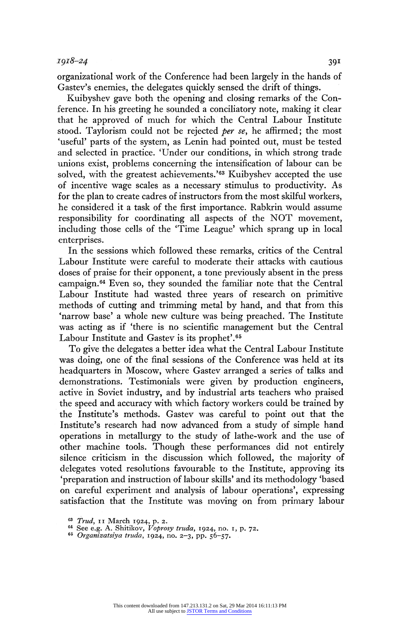**organizational work of the Conference had been largely in the hands of Gastev's enemies, the delegates quickly sensed the drift of things.** 

**Kuibyshev gave both the opening and closing remarks of the Conference. In his greeting he sounded a conciliatory note, making it clear that he approved of much for which the Central Labour Institute stood. Taylorism could not be rejected per se, he affirmed; the most 'useful' parts of the system, as Lenin had pointed out, must be tested and selected in practice. 'Under our conditions, in which strong trade unions exist, problems concerning the intensification of labour can be solved, with the greatest achievements.'63 Kuibyshev accepted the use of incentive wage scales as a necessary stimulus to productivity. As for the plan to create cadres of instructors from the most skilful workers, he considered it a task of the first importance. Rabkrin would assume responsibility for coordinating all aspects of the NOT movement, including those cells of the 'Time League' which sprang up in local enterprises.** 

**In the sessions which followed these remarks, critics of the Central Labour Institute were careful to moderate their attacks with cautious doses of praise for their opponent, a tone previously absent in the press campaign.64 Even so, they sounded the familiar note that the Central Labour Institute had wasted three years of research on primitive methods of cutting and trimming metal by hand, and that from this 'narrow base' a whole new culture was being preached. The Institute was acting as if 'there is no scientific management but the Central Labour Institute and Gastev is its prophet'.65** 

**To give the delegates a better idea what the Central Labour Institute was doing, one of the final sessions of the Conference was held at its headquarters in Moscow, where Gastev arranged a series of talks and demonstrations. Testimonials were given by production engineers, active in Soviet industry, and by industrial arts teachers who praised the speed and accuracy with which factory workers could be trained by the Institute's methods. Gastev was careful to point out that the Institute's research had now advanced from a study of simple hand operations in metallurgy to the study of lathe-work and the use of other machine tools. Though these performances did not entirely silence criticism in the discussion which followed, the majority of delegates voted resolutions favourable to the Institute, approving its 'preparation and instruction of labour skills' and its methodology 'based on careful experiment and analysis of labour operations', expressing satisfaction that the Institute was moving on from primary labour** 

<sup>&</sup>lt;sup>63</sup> *Trud,* 11 March 1924, p. 2.<br><sup>64</sup> See e.g. A. Shitikov, *Voprosy truda,* 1924, no. 1, p. 72.<br><sup>65</sup> Organizatsiya truda, 1924, no. 2–3, pp. 56–57.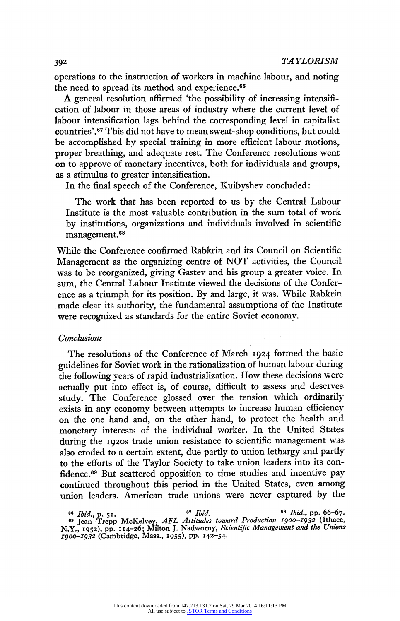**operations to the instruction of workers in machine labour, and noting the need to spread its method and experience.66** 

**A general resolution affirmed 'the possibility of increasing intensification of labour in those areas of industry where the current level of labour intensification lags behind the corresponding level in capitalist countries'.67 This did not have to mean sweat-shop conditions, but could be accomplished by special training in more efficient labour motions, proper breathing, and adequate rest. The Conference resolutions went on to approve of monetary incentives, both for individuals and groups, as a stimulus to greater intensification.** 

**In the final speech of the Conference, Kuibyshev concluded:** 

**The work that has been reported to us by the Central Labour Institute is the most valuable contribution in the sum total of work by institutions, organizations and individuals involved in scientific management.68** 

**While the Conference confirmed Rabkrin and its Council on Scientific Management as the organizing centre of NOT activities, the Council was to be reorganized, giving Gastev and his group a greater voice. In sum, the Central Labour Institute viewed the decisions of the Conference as a triumph for its position. By and large, it was. While Rabkrin made clear its authority, the fundamental assumptions of the Institute were recognized as standards for the entire Soviet economy.** 

### **Conclusions**

**The resolutions of the Conference of March 1924 formed the basic guidelines for Soviet work in the rationalization of human labour during the following years of rapid industrialization. How these decisions were actually put into effect is, of course, difficult to assess and deserves study. The Conference glossed over the tension which ordinarily exists in any economy between attempts to increase human efficiency on the one hand and, on the other hand, to protect the health and monetary interests of the individual worker. In the United States during the 1920s trade union resistance to scientific management was also eroded to a certain extent, due partly to union lethargy and partly to the efforts of the Taylor Society to take union leaders into its confidence.69 But scattered opposition to time studies and incentive pay continued throughout this period in the United States, even among union leaders. American trade unions were never captured by the** 

<sup>&</sup>lt;sup>66</sup> Ibid., p. 51.<br><sup>67</sup> Ibid. <sup>69</sup> Ibid., pp. 66–67.<br><sup>69</sup> Jean Trepp McKelvey, *AFL Attitudes toward Production 1900–1932* (Ithaca,<br>N.Y., 1952), pp. 114–26; Milton J. Nadworny, *Scientific Management and the Unions*<br>1900–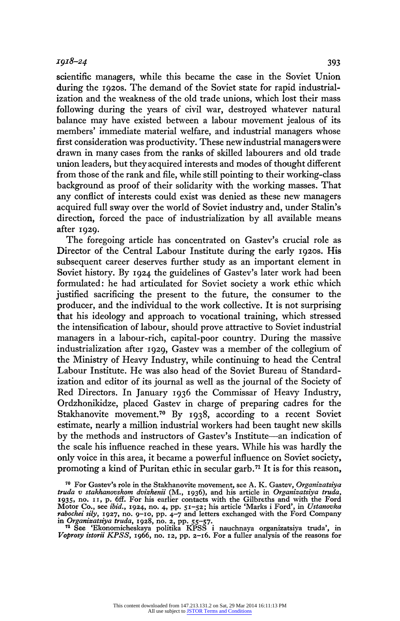**scientific managers, while this became the case in the Soviet Union during the I92os. The demand of the Soviet state for rapid industrialization and the weakness of the old trade unions, which lost their mass following during the years of civil war, destroyed whatever natural balance may have existed between a labour movement jealous of its members' immediate material welfare, and industrial managers whose first consideration was productivity. These new industrial managers were drawn in many cases from the ranks of skilled labourers and old trade union leaders, but they acquired interests and modes of thought different from those of the rank and file, while still pointing to their working-class background as proof of their solidarity with the working masses. That any conflict of interests could exist was denied as these new managers acquired full sway over the world of Soviet industry and, under Stalin's direction, forced the pace of industrialization by all available means after I929.** 

**The foregoing article has concentrated on Gastev's crucial role as Director of the Central Labour Institute during the early I920o. His subsequent career deserves further study as an important element in Soviet history. By I924 the guidelines of Gastev's later work had been formulated: he had articulated for Soviet society a work ethic which justified sacrificing the present to the future, the consumer to the producer, and the individual to the work collective. It is not surprising that his ideology and approach to vocational training, which stressed the intensification of labour, should prove attractive to Soviet industrial managers in a labour-rich, capital-poor country. During the massive industrialization after I929, Gastev was a member of the collegium of the Ministry of Heavy Industry, while continuing to head the Central Labour Institute. He was also head of the Soviet Bureau of Standardization and editor of its journal as well as the journal of the Society of Red Directors. In January 1936 the Commissar of Heavy Industry, Ordzhonikidze, placed Gastev in charge of preparing cadres for the Stakhanovite movement.70 By 1938, according to a recent Soviet estimate, nearly a million industrial workers had been taught new skills by the methods and instructors of Gastev's Institute-an indication of the scale his influence reached in these years. While his was hardly the only voice in this area, it became a powerful influence on Soviet society, promoting a kind of Puritan ethic in secular garb.71 It is for this reason,** 

**<sup>70</sup>For Gastev's role in the Stakhanovite movement, see A. K. Gastev, Organizatsiya**  truda v stakhanovskom dvizhenii (M., 1936), and his article in Organizatsiya truda, 1935, no. 11, p. 6ff. For his earlier contacts with the Gilbreths and with the Ford Motor Co., see *ibid.*, 1924, no. 4, pp. 51–52; his a